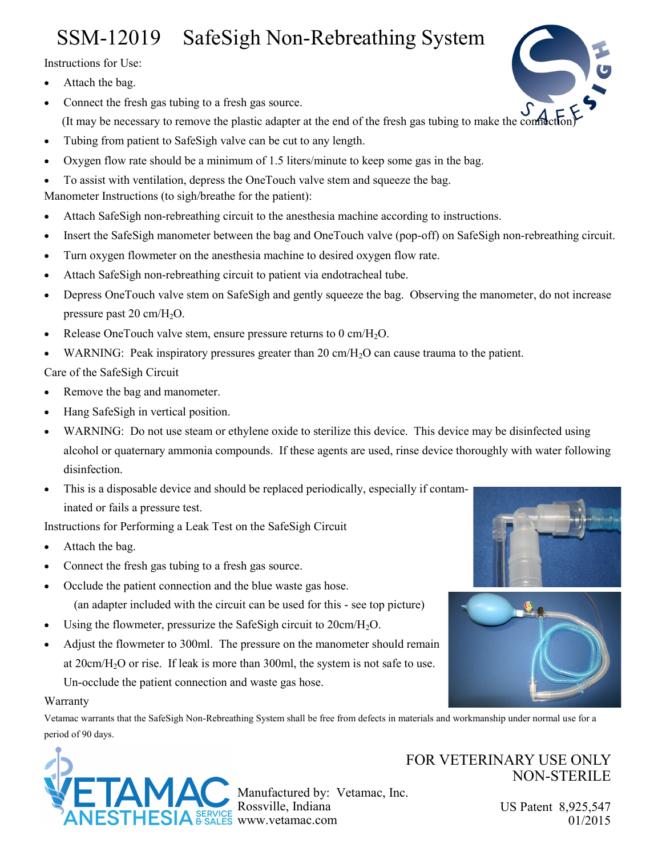## SSM-12019 SafeSigh Non-Rebreathing System

Instructions for Use:

- Attach the bag.
- Connect the fresh gas tubing to a fresh gas source. (It may be necessary to remove the plastic adapter at the end of the fresh gas tubing to make the connection)
- Tubing from patient to SafeSigh valve can be cut to any length.
- Oxygen flow rate should be a minimum of 1.5 liters/minute to keep some gas in the bag.
- To assist with ventilation, depress the OneTouch valve stem and squeeze the bag.

Manometer Instructions (to sigh/breathe for the patient):

- Attach SafeSigh non-rebreathing circuit to the anesthesia machine according to instructions.
- Insert the SafeSigh manometer between the bag and OneTouch valve (pop-off) on SafeSigh non-rebreathing circuit.
- Turn oxygen flowmeter on the anesthesia machine to desired oxygen flow rate.
- Attach SafeSigh non-rebreathing circuit to patient via endotracheal tube.
- Depress OneTouch valve stem on SafeSigh and gently squeeze the bag. Observing the manometer, do not increase pressure past  $20 \text{ cm}/\text{H}_2\text{O}$ .
- Release OneTouch valve stem, ensure pressure returns to  $0 \text{ cm}/\text{H}_2\text{O}$ .
- WARNING: Peak inspiratory pressures greater than 20 cm/ $H_2O$  can cause trauma to the patient.

Care of the SafeSigh Circuit

- Remove the bag and manometer.
- Hang SafeSigh in vertical position.
- WARNING: Do not use steam or ethylene oxide to sterilize this device. This device may be disinfected using alcohol or quaternary ammonia compounds. If these agents are used, rinse device thoroughly with water following disinfection.
- This is a disposable device and should be replaced periodically, especially if contaminated or fails a pressure test.

Instructions for Performing a Leak Test on the SafeSigh Circuit

- Attach the bag.
- Connect the fresh gas tubing to a fresh gas source.
- Occlude the patient connection and the blue waste gas hose. (an adapter included with the circuit can be used for this - see top picture)
- Using the flowmeter, pressurize the SafeSigh circuit to  $20 \text{cm}/\text{H}_2\text{O}$ .
- Adjust the flowmeter to 300ml. The pressure on the manometer should remain at  $20 \text{cm}/\text{H}_2\text{O}$  or rise. If leak is more than  $300 \text{ml}$ , the system is not safe to use. Un-occlude the patient connection and waste gas hose.

## Warranty

Vetamac warrants that the SafeSigh Non-Rebreathing System shall be free from defects in materials and workmanship under normal use for a period of 90 days.



Manufactured by: Vetamac, Inc. Rossville, Indiana  $SIA$  SERVICE www.vetamac.com

## FOR VETERINARY USE ONLY NON-STERILE

US Patent 8,925,547 01/2015